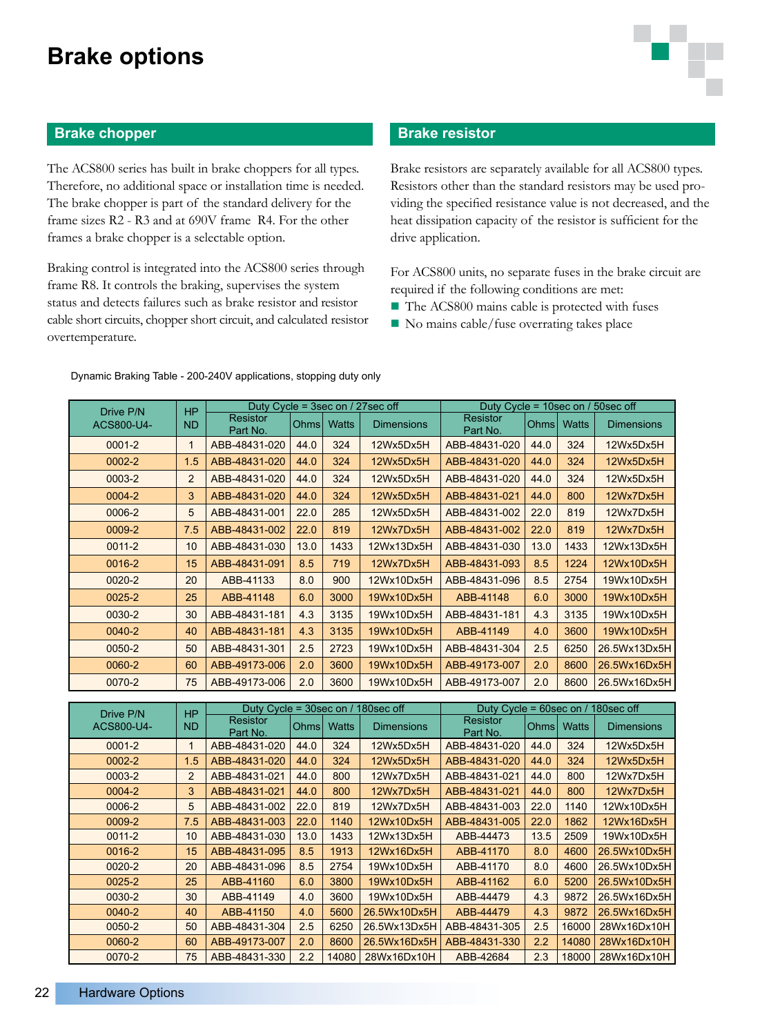## **Brake options**

### **Brake chopper**

The ACS800 series has built in brake choppers for all types. Therefore, no additional space or installation time is needed. The brake chopper is part of the standard delivery for the frame sizes R2 - R3 and at 690V frame R4. For the other frames a brake chopper is a selectable option.

Braking control is integrated into the ACS800 series through frame R8. It controls the braking, supervises the system status and detects failures such as brake resistor and resistor cable short circuits, chopper short circuit, and calculated resistor overtemperature.

### **Brake resistor**

Brake resistors are separately available for all ACS800 types. Resistors other than the standard resistors may be used providing the specified resistance value is not decreased, and the heat dissipation capacity of the resistor is sufficient for the drive application.

For ACS800 units, no separate fuses in the brake circuit are required if the following conditions are met:

- $\blacksquare$  The ACS800 mains cable is protected with fuses
- $\blacksquare$  No mains cable/fuse overrating takes place

| Drive P/N  | <b>HP</b><br><b>ND</b> | Duty Cycle = 3sec on / 27sec off |             | Duty Cycle = $10$ sec on / $50$ sec off |                   |                             |             |              |                   |
|------------|------------------------|----------------------------------|-------------|-----------------------------------------|-------------------|-----------------------------|-------------|--------------|-------------------|
| ACS800-U4- |                        | <b>Resistor</b><br>Part No.      | <b>Ohms</b> | <b>Watts</b>                            | <b>Dimensions</b> | <b>Resistor</b><br>Part No. | <b>Ohms</b> | <b>Watts</b> | <b>Dimensions</b> |
| $0001 - 2$ | $\mathbf{1}$           | ABB-48431-020                    | 44.0        | 324                                     | 12Wx5Dx5H         | ABB-48431-020               | 44.0        | 324          | 12Wx5Dx5H         |
| $0002 - 2$ | 1.5                    | ABB-48431-020                    | 44.0        | 324                                     | 12Wx5Dx5H         | ABB-48431-020               | 44.0        | 324          | 12Wx5Dx5H         |
| 0003-2     | $\overline{2}$         | ABB-48431-020                    | 44.0        | 324                                     | 12Wx5Dx5H         | ABB-48431-020               | 44.0        | 324          | 12Wx5Dx5H         |
| 0004-2     | 3                      | ABB-48431-020                    | 44.0        | 324                                     | 12Wx5Dx5H         | ABB-48431-021               | 44.0        | 800          | 12Wx7Dx5H         |
| 0006-2     | 5                      | ABB-48431-001                    | 22.0        | 285                                     | 12Wx5Dx5H         | ABB-48431-002               | 22.0        | 819          | 12Wx7Dx5H         |
| 0009-2     | 7.5                    | ABB-48431-002                    | 22.0        | 819                                     | 12Wx7Dx5H         | ABB-48431-002               | 22.0        | 819          | 12Wx7Dx5H         |
| $0011 - 2$ | 10                     | ABB-48431-030                    | 13.0        | 1433                                    | 12Wx13Dx5H        | ABB-48431-030               | 13.0        | 1433         | 12Wx13Dx5H        |
| 0016-2     | 15                     | ABB-48431-091                    | 8.5         | 719                                     | 12Wx7Dx5H         | ABB-48431-093               | 8.5         | 1224         | 12Wx10Dx5H        |
| $0020 - 2$ | 20                     | ABB-41133                        | 8.0         | 900                                     | 12Wx10Dx5H        | ABB-48431-096               | 8.5         | 2754         | 19Wx10Dx5H        |
| $0025 - 2$ | 25                     | ABB-41148                        | 6.0         | 3000                                    | 19Wx10Dx5H        | ABB-41148                   | 6.0         | 3000         | 19Wx10Dx5H        |
| 0030-2     | 30                     | ABB-48431-181                    | 4.3         | 3135                                    | 19Wx10Dx5H        | ABB-48431-181               | 4.3         | 3135         | 19Wx10Dx5H        |
| 0040-2     | 40                     | ABB-48431-181                    | 4.3         | 3135                                    | 19Wx10Dx5H        | ABB-41149                   | 4.0         | 3600         | 19Wx10Dx5H        |
| 0050-2     | 50                     | ABB-48431-301                    | 2.5         | 2723                                    | 19Wx10Dx5H        | ABB-48431-304               | 2.5         | 6250         | 26.5Wx13Dx5H      |
| 0060-2     | 60                     | ABB-49173-006                    | 2.0         | 3600                                    | 19Wx10Dx5H        | ABB-49173-007               | 2.0         | 8600         | 26.5Wx16Dx5H      |
| 0070-2     | 75                     | ABB-49173-006                    | 2.0         | 3600                                    | 19Wx10Dx5H        | ABB-49173-007               | 2.0         | 8600         | 26.5Wx16Dx5H      |
|            |                        |                                  |             |                                         |                   |                             |             |              |                   |

#### Dynamic Braking Table - 200-240V applications, stopping duty only

| Drive P/N  | <b>HP</b><br><b>ND</b> | Duty Cycle = $30$ sec on /<br>180sec off |                   |              |                   | Duty Cycle = 60sec on / 180sec off |             |              |                   |
|------------|------------------------|------------------------------------------|-------------------|--------------|-------------------|------------------------------------|-------------|--------------|-------------------|
| ACS800-U4- |                        | <b>Resistor</b><br>Part No.              | Ohms <sup>1</sup> | <b>Watts</b> | <b>Dimensions</b> | <b>Resistor</b><br>Part No.        | <b>Ohms</b> | <b>Watts</b> | <b>Dimensions</b> |
| $0001 - 2$ |                        | ABB-48431-020                            | 44.0              | 324          | 12Wx5Dx5H         | ABB-48431-020                      | 44.0        | 324          | 12Wx5Dx5H         |
| $0002 - 2$ | 1.5                    | ABB-48431-020                            | 44.0              | 324          | 12Wx5Dx5H         | ABB-48431-020                      | 44.0        | 324          | 12Wx5Dx5H         |
| 0003-2     | 2                      | ABB-48431-021                            | 44.0              | 800          | 12Wx7Dx5H         | ABB-48431-021                      | 44.0        | 800          | 12Wx7Dx5H         |
| 0004-2     | 3                      | ABB-48431-021                            | 44.0              | 800          | 12Wx7Dx5H         | ABB-48431-021                      | 44.0        | 800          | 12Wx7Dx5H         |
| 0006-2     | 5                      | ABB-48431-002                            | 22.0              | 819          | 12Wx7Dx5H         | ABB-48431-003                      | 22.0        | 1140         | 12Wx10Dx5H        |
| 0009-2     | 7.5                    | ABB-48431-003                            | 22.0              | 1140         | 12Wx10Dx5H        | ABB-48431-005                      | 22.0        | 1862         | 12Wx16Dx5H        |
| $0011 - 2$ | 10                     | ABB-48431-030                            | 13.0              | 1433         | 12Wx13Dx5H        | ABB-44473                          | 13.5        | 2509         | 19Wx10Dx5H        |
| 0016-2     | 15                     | ABB-48431-095                            | 8.5               | 1913         | 12Wx16Dx5H        | ABB-41170                          | 8.0         | 4600         | 26.5Wx10Dx5H      |
| $0020 - 2$ | 20                     | ABB-48431-096                            | 8.5               | 2754         | 19Wx10Dx5H        | ABB-41170                          | 8.0         | 4600         | 26.5Wx10Dx5H      |
| $0025 - 2$ | 25                     | ABB-41160                                | 6.0               | 3800         | 19Wx10Dx5H        | ABB-41162                          | 6.0         | 5200         | 26.5Wx10Dx5H      |
| 0030-2     | 30                     | ABB-41149                                | 4.0               | 3600         | 19Wx10Dx5H        | ABB-44479                          | 4.3         | 9872         | 26.5Wx16Dx5H      |
| 0040-2     | 40                     | ABB-41150                                | 4.0               | 5600         | 26.5Wx10Dx5H      | ABB-44479                          | 4.3         | 9872         | 26.5Wx16Dx5H      |
| 0050-2     | 50                     | ABB-48431-304                            | 2.5               | 6250         | 26.5Wx13Dx5H      | ABB-48431-305                      | 2.5         | 16000        | 28Wx16Dx10H       |
| 0060-2     | 60                     | ABB-49173-007                            | 2.0               | 8600         | 26.5Wx16Dx5H      | ABB-48431-330                      | 2.2         | 14080        | 28Wx16Dx10H       |
| 0070-2     | 75                     | ABB-48431-330                            | 2.2               | 14080        | 28Wx16Dx10H       | ABB-42684                          | 2.3         | 18000        | 28Wx16Dx10H       |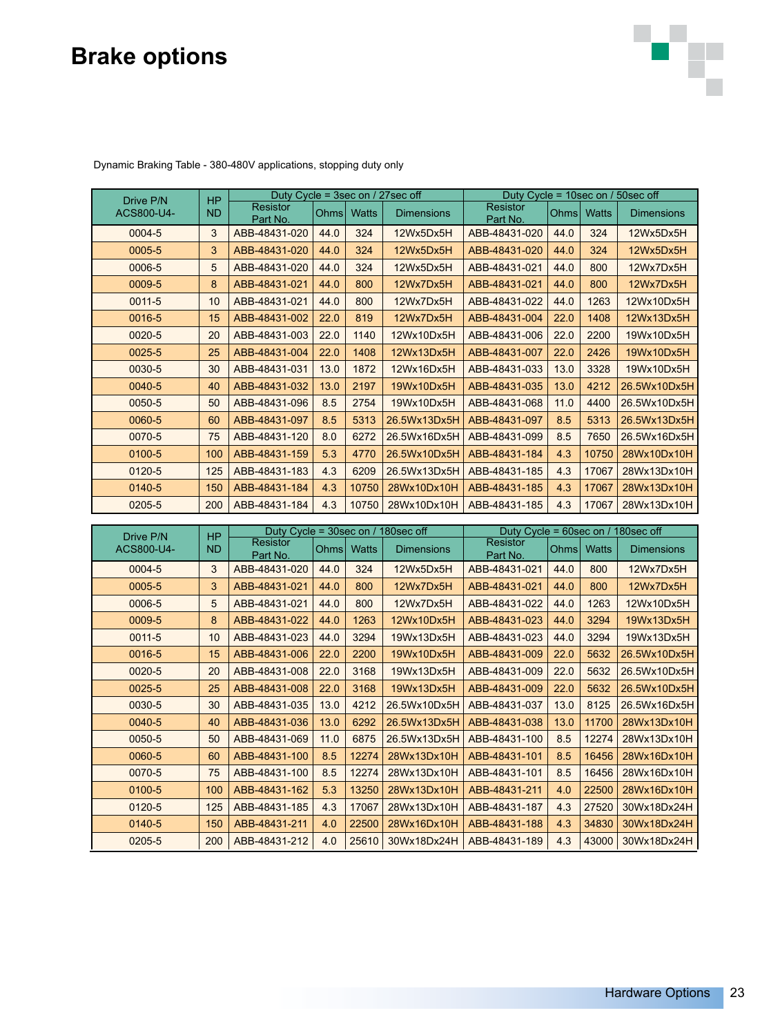# **Brake options**



| Drive P/N  | <b>HP</b> | Duty Cycle = 3sec on / 27sec off               |       | Duty Cycle = 10sec on / 50sec off |                   |                                                          |                   |              |                   |  |
|------------|-----------|------------------------------------------------|-------|-----------------------------------|-------------------|----------------------------------------------------------|-------------------|--------------|-------------------|--|
| ACS800-U4- | ND        | <b>Resistor</b><br>Part No.                    | Ohmsl | <b>Watts</b>                      | <b>Dimensions</b> | <b>Resistor</b><br>Part No.                              | Ohms <sup> </sup> | <b>Watts</b> | <b>Dimensions</b> |  |
| 0004-5     | 3         | ABB-48431-020                                  | 44.0  | 324                               | 12Wx5Dx5H         | ABB-48431-020                                            | 44.0              | 324          | 12Wx5Dx5H         |  |
| 0005-5     | 3         | ABB-48431-020                                  | 44.0  | 324                               | 12Wx5Dx5H         | ABB-48431-020                                            | 44.0              | 324          | 12Wx5Dx5H         |  |
| 0006-5     | 5         | ABB-48431-020                                  | 44.0  | 324                               | 12Wx5Dx5H         | ABB-48431-021                                            | 44.0              | 800          | 12Wx7Dx5H         |  |
| 0009-5     | 8         | ABB-48431-021                                  | 44.0  | 800                               | 12Wx7Dx5H         | ABB-48431-021                                            | 44.0              | 800          | 12Wx7Dx5H         |  |
| $0011 - 5$ | 10        | ABB-48431-021                                  | 44.0  | 800                               | 12Wx7Dx5H         | ABB-48431-022                                            | 44.0              | 1263         | 12Wx10Dx5H        |  |
| 0016-5     | 15        | ABB-48431-002                                  | 22.0  | 819                               | 12Wx7Dx5H         | ABB-48431-004                                            | 22.0              | 1408         | 12Wx13Dx5H        |  |
| 0020-5     | 20        | ABB-48431-003                                  | 22.0  | 1140                              | 12Wx10Dx5H        | ABB-48431-006                                            | 22.0              | 2200         | 19Wx10Dx5H        |  |
| 0025-5     | 25        | ABB-48431-004                                  | 22.0  | 1408                              | 12Wx13Dx5H        | ABB-48431-007                                            | 22.0              | 2426         | 19Wx10Dx5H        |  |
| 0030-5     | 30        | ABB-48431-031                                  | 13.0  | 1872                              | 12Wx16Dx5H        | ABB-48431-033                                            | 13.0              | 3328         | 19Wx10Dx5H        |  |
| 0040-5     | 40        | ABB-48431-032                                  | 13.0  | 2197                              | 19Wx10Dx5H        | ABB-48431-035                                            | 13.0              | 4212         | 26.5Wx10Dx5H      |  |
| 0050-5     | 50        | ABB-48431-096                                  | 8.5   | 2754                              | 19Wx10Dx5H        | ABB-48431-068                                            | 11.0              | 4400         | 26.5Wx10Dx5H      |  |
| 0060-5     | 60        | ABB-48431-097                                  | 8.5   | 5313                              | 26.5Wx13Dx5H      | ABB-48431-097                                            | 8.5               | 5313         | 26.5Wx13Dx5H      |  |
| 0070-5     | 75        | ABB-48431-120                                  | 8.0   | 6272                              | 26.5Wx16Dx5H      | ABB-48431-099                                            | 8.5               | 7650         | 26.5Wx16Dx5H      |  |
| 0100-5     | 100       | ABB-48431-159                                  | 5.3   | 4770                              | 26.5Wx10Dx5H      | ABB-48431-184                                            | 4.3               | 10750        | 28Wx10Dx10H       |  |
| 0120-5     | 125       | ABB-48431-183                                  | 4.3   | 6209                              | 26.5Wx13Dx5H      | ABB-48431-185                                            | 4.3               | 17067        | 28Wx13Dx10H       |  |
| 0140-5     | 150       | ABB-48431-184                                  | 4.3   | 10750                             | 28Wx10Dx10H       | ABB-48431-185                                            | 4.3               | 17067        | 28Wx13Dx10H       |  |
| 0205-5     | 200       | ABB-48431-184                                  | 4.3   | 10750                             | 28Wx10Dx10H       | ABB-48431-185                                            | 4.3               | 17067        | 28Wx13Dx10H       |  |
|            |           |                                                |       |                                   |                   |                                                          |                   |              |                   |  |
| Drive P/N  | <b>HP</b> | Duty Cycle = 30sec on / 180sec off<br>Resistor |       |                                   |                   | Duty Cycle = $60$ sec on / 180sec off<br><b>Resistor</b> |                   |              |                   |  |
| ACS800-U4- | <b>ND</b> | Part No.                                       | Ohms  | <b>Watts</b>                      | <b>Dimensions</b> | Part No.                                                 | Ohms              | <b>Watts</b> | <b>Dimensions</b> |  |
| 0004-5     | 3         | ABB-48431-020                                  | 44.0  | 324                               | 12Wx5Dx5H         | ABB-48431-021                                            | 44.0              | 800          | 12Wx7Dx5H         |  |
| 0005-5     | 3         | ABB-48431-021                                  | 44.0  | 800                               | 12Wx7Dx5H         | ABB-48431-021                                            | 44.0              | 800          | 12Wx7Dx5H         |  |
| 0006-5     | 5         | ABB-48431-021                                  | 44.0  | 800                               | 12Wx7Dx5H         | ABB-48431-022                                            | 44.0              | 1263         | 12Wx10Dx5H        |  |
| 0009-5     | 8         | ABB-48431-022                                  | 44.0  | 1263                              | 12Wx10Dx5H        | ABB-48431-023                                            | 44.0              | 3294         | 19Wx13Dx5H        |  |
| $0011 - 5$ | 10        | ABB-48431-023                                  | 44.0  | 3294                              | 19Wx13Dx5H        | ABB-48431-023                                            | 44.0              | 3294         | 19Wx13Dx5H        |  |
| 0016-5     | 15        | ABB-48431-006                                  | 22.0  | 2200                              | 19Wx10Dx5H        | ABB-48431-009                                            | 22.0              | 5632         | 26.5Wx10Dx5H      |  |
| 0020-5     | 20        | ABB-48431-008                                  | 22.0  | 3168                              | 19Wx13Dx5H        | ABB-48431-009                                            | 22.0              | 5632         | 26.5Wx10Dx5H      |  |
| 0025-5     | 25        | ABB-48431-008                                  | 22.0  | 3168                              | 19Wx13Dx5H        | ABB-48431-009                                            | 22.0              | 5632         | 26.5Wx10Dx5H      |  |
| 0030-5     | 30        | ABB-48431-035                                  | 13.0  | 4212                              | 26.5Wx10Dx5H      | ABB-48431-037                                            | 13.0              | 8125         | 26.5Wx16Dx5H      |  |
| 0040-5     | 40        | ABB-48431-036                                  | 13.0  | 6292                              | 26.5Wx13Dx5H      | ABB-48431-038                                            | 13.0              | 11700        | 28Wx13Dx10H       |  |
| 0050-5     | 50        | ABB-48431-069                                  | 11.0  | 6875                              | 26.5Wx13Dx5H      | ABB-48431-100                                            | 8.5               | 12274        | 28Wx13Dx10H       |  |
| 0060-5     | 60        | ABB-48431-100                                  | 8.5   | 12274                             | 28Wx13Dx10H       | ABB-48431-101                                            | 8.5               | 16456        | 28Wx16Dx10H       |  |
| 0070-5     | 75        | ABB-48431-100                                  | 8.5   | 12274                             | 28Wx13Dx10H       | ABB-48431-101                                            | 85                | 16456        | 28Wx16Dx10H       |  |
| 0100-5     | 100       | ABB-48431-162                                  | 5.3   | 13250                             | 28Wx13Dx10H       | ABB-48431-211                                            | 4.0               | 22500        | 28Wx16Dx10H       |  |

0120-5 125 ABB-48431-185 4.3 17067 28Wx13Dx10H ABB-48431-187 4.3 27520 30Wx18Dx24H 0140-5 | 150 | ABB-48431-211 | 4.0 | 22500 | 28Wx16Dx10H | ABB-48431-188 | 4.3 | 34830 | 30Wx18Dx24H 0205-5 200 ABB-48431-212 4.0 25610 30Wx18Dx24H ABB-48431-189 4.3 43000 30Wx18Dx24H

Dynamic Braking Table - 380-480V applications, stopping duty only